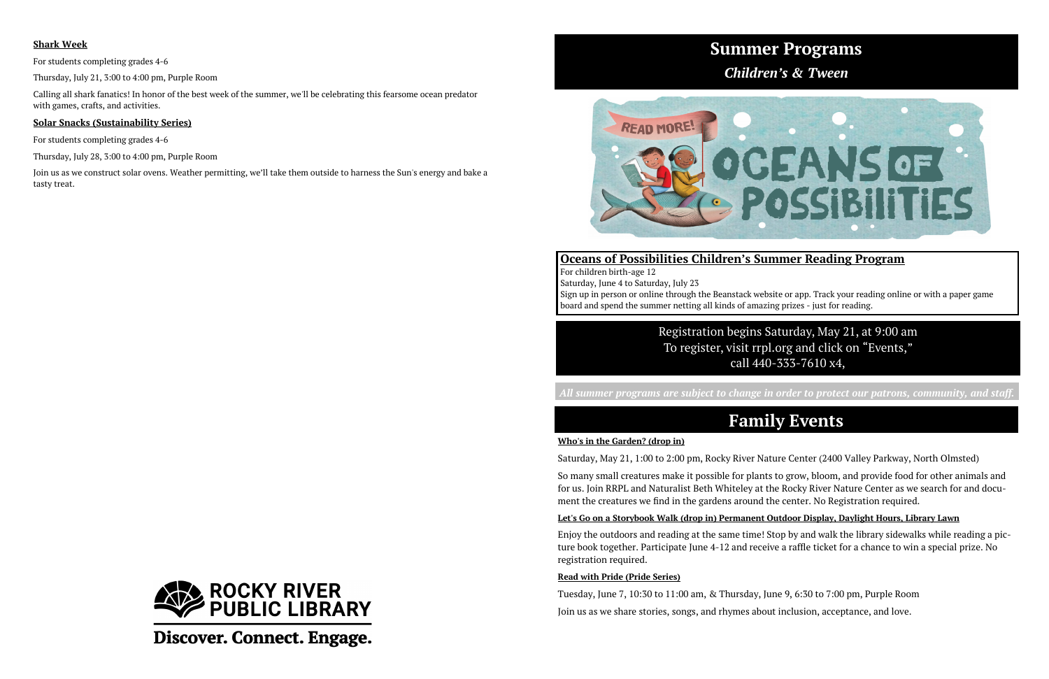# **Summer Programs**



*Children's & Tween* 

### **Oceans of Possibilities Children's Summer Reading Program**

For children birth-age 12 Saturday, June 4 to Saturday, July 23 Sign up in person or online through the Beanstack website or app. Track your reading online or with a paper game board and spend the summer netting all kinds of amazing prizes - just for reading.

## **Family Events**

#### **Who's in the Garden? (drop in)**

Saturday, May 21, 1:00 to 2:00 pm, Rocky River Nature Center (2400 Valley Parkway, North Olmsted)

So many small creatures make it possible for plants to grow, bloom, and provide food for other animals and for us. Join RRPL and Naturalist Beth Whiteley at the Rocky River Nature Center as we search for and document the creatures we find in the gardens around the center. No Registration required.

#### **Let's Go on a Storybook Walk (drop in) Permanent Outdoor Display, Daylight Hours, Library Lawn**

Enjoy the outdoors and reading at the same time! Stop by and walk the library sidewalks while reading a picture book together. Participate June 4-12 and receive a raffle ticket for a chance to win a special prize. No registration required.

#### **Read with Pride (Pride Series)**

Tuesday, June 7, 10:30 to 11:00 am, & Thursday, June 9, 6:30 to 7:00 pm, Purple Room Join us as we share stories, songs, and rhymes about inclusion, acceptance, and love.



Discover. Connect. Engage.

Registration begins Saturday, May 21, at 9:00 am To register, visit rrpl.org and click on "Events," call 440-333-7610 x4,

*All summer programs are subject to change in order to protect our patrons, community, and staff.* 

### **Shark Week**

For students completing grades 4-6

Thursday, July 21, 3:00 to 4:00 pm, Purple Room

Calling all shark fanatics! In honor of the best week of the summer, we'll be celebrating this fearsome ocean predator with games, crafts, and activities.

#### **Solar Snacks (Sustainability Series)**

For students completing grades 4-6

Thursday, July 28, 3:00 to 4:00 pm, Purple Room

Join us as we construct solar ovens. Weather permitting, we'll take them outside to harness the Sun's energy and bake a tasty treat.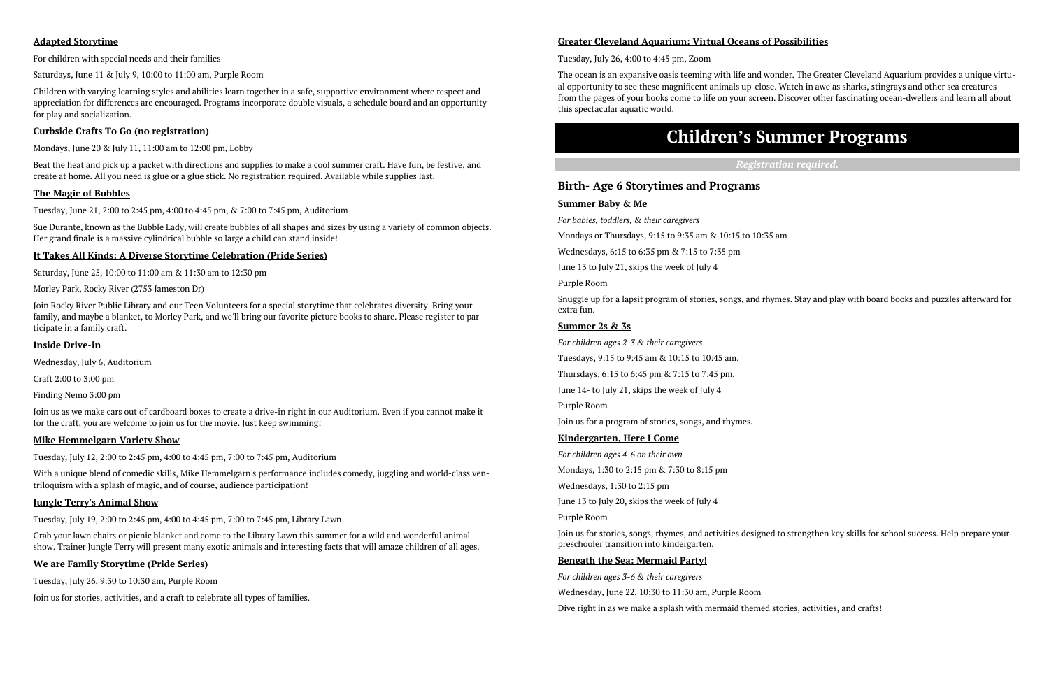## **Children's Summer Programs**

*Registration required.* 

#### **Birth- Age 6 Storytimes and Programs**

#### **Summer Baby & Me**

*For babies, toddlers, & their caregivers* 

Mondays or Thursdays, 9:15 to 9:35 am & 10:15 to 10:35 am

Wednesdays, 6:15 to 6:35 pm & 7:15 to 7:35 pm

June 13 to July 21, skips the week of July 4

Purple Room

Snuggle up for a lapsit program of stories, songs, and rhymes. Stay and play with board books and puzzles afterward for extra fun.

#### **Summer 2s & 3s**

*For children ages 2-3 & their caregivers* 

Tuesdays, 9:15 to 9:45 am & 10:15 to 10:45 am,

Thursdays, 6:15 to 6:45 pm & 7:15 to 7:45 pm,

June 14- to July 21, skips the week of July 4

Purple Room

Join us for a program of stories, songs, and rhymes.

#### **Kindergarten, Here I Come**

*For children ages 4-6 on their own* 

Mondays, 1:30 to 2:15 pm & 7:30 to 8:15 pm

Wednesdays, 1:30 to 2:15 pm

June 13 to July 20, skips the week of July 4

Purple Room

Join us for stories, songs, rhymes, and activities designed to strengthen key skills for school success. Help prepare your preschooler transition into kindergarten.

#### **Beneath the Sea: Mermaid Party!**

*For children ages 3-6 & their caregivers* 

Wednesday, June 22, 10:30 to 11:30 am, Purple Room

Dive right in as we make a splash with mermaid themed stories, activities, and crafts!

#### **Adapted Storytime**

For children with special needs and their families

Saturdays, June 11 & July 9, 10:00 to 11:00 am, Purple Room

Children with varying learning styles and abilities learn together in a safe, supportive environment where respect and appreciation for differences are encouraged. Programs incorporate double visuals, a schedule board and an opportunity for play and socialization.

#### **Curbside Crafts To Go (no registration)**

Mondays, June 20 & July 11, 11:00 am to 12:00 pm, Lobby

Beat the heat and pick up a packet with directions and supplies to make a cool summer craft. Have fun, be festive, and create at home. All you need is glue or a glue stick. No registration required. Available while supplies last.

#### **The Magic of Bubbles**

Tuesday, June 21, 2:00 to 2:45 pm, 4:00 to 4:45 pm, & 7:00 to 7:45 pm, Auditorium

Sue Durante, known as the Bubble Lady, will create bubbles of all shapes and sizes by using a variety of common objects. Her grand finale is a massive cylindrical bubble so large a child can stand inside!

#### **It Takes All Kinds: A Diverse Storytime Celebration (Pride Series)**

Saturday, June 25, 10:00 to 11:00 am & 11:30 am to 12:30 pm

Morley Park, Rocky River (2753 Jameston Dr)

Join Rocky River Public Library and our Teen Volunteers for a special storytime that celebrates diversity. Bring your family, and maybe a blanket, to Morley Park, and we'll bring our favorite picture books to share. Please register to participate in a family craft.

#### **Inside Drive-in**

Wednesday, July 6, Auditorium

Craft 2:00 to 3:00 pm

Finding Nemo 3:00 pm

Join us as we make cars out of cardboard boxes to create a drive-in right in our Auditorium. Even if you cannot make it for the craft, you are welcome to join us for the movie. Just keep swimming!

#### **Mike Hemmelgarn Variety Show**

Tuesday, July 12, 2:00 to 2:45 pm, 4:00 to 4:45 pm, 7:00 to 7:45 pm, Auditorium

With a unique blend of comedic skills, Mike Hemmelgarn's performance includes comedy, juggling and world-class ventriloquism with a splash of magic, and of course, audience participation!

#### **Jungle Terry's Animal Show**

Tuesday, July 19, 2:00 to 2:45 pm, 4:00 to 4:45 pm, 7:00 to 7:45 pm, Library Lawn

Grab your lawn chairs or picnic blanket and come to the Library Lawn this summer for a wild and wonderful animal show. Trainer Jungle Terry will present many exotic animals and interesting facts that will amaze children of all ages.

#### **We are Family Storytime (Pride Series)**

Tuesday, July 26, 9:30 to 10:30 am, Purple Room

Join us for stories, activities, and a craft to celebrate all types of families.

#### **Greater Cleveland Aquarium: Virtual Oceans of Possibilities**

Tuesday, July 26, 4:00 to 4:45 pm, Zoom

The ocean is an expansive oasis teeming with life and wonder. The Greater Cleveland Aquarium provides a unique virtual opportunity to see these magnificent animals up-close. Watch in awe as sharks, stingrays and other sea creatures from the pages of your books come to life on your screen. Discover other fascinating ocean-dwellers and learn all about this spectacular aquatic world.